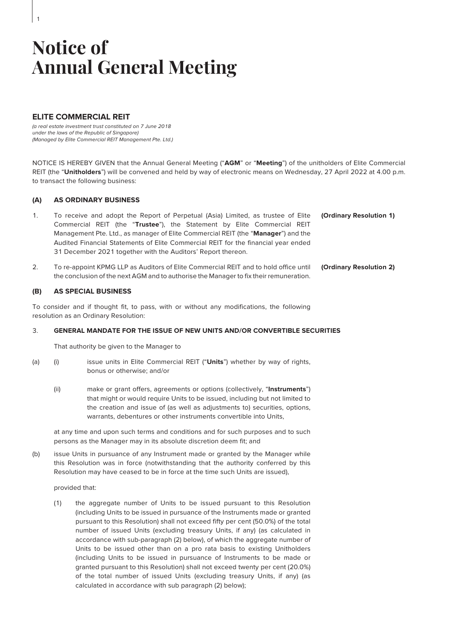# **ELITE COMMERCIAL REIT**

1

(a real estate investment trust constituted on 7 June 2018 under the laws of the Republic of Singapore) (Managed by Elite Commercial REIT Management Pte. Ltd.)

NOTICE IS HEREBY GIVEN that the Annual General Meeting ("**AGM**" or "**Meeting**") of the unitholders of Elite Commercial REIT (the "**Unitholders**") will be convened and held by way of electronic means on Wednesday, 27 April 2022 at 4.00 p.m. to transact the following business:

### **(A) AS ORDINARY BUSINESS**

| To receive and adopt the Report of Perpetual (Asia) Limited, as trustee of Elite (Ordinary Resolution 1) |  |
|----------------------------------------------------------------------------------------------------------|--|
| Commercial REIT (the "Trustee"), the Statement by Elite Commercial REIT                                  |  |
| Management Pte. Ltd., as manager of Elite Commercial REIT (the "Manager") and the                        |  |
| Audited Financial Statements of Elite Commercial REIT for the financial year ended                       |  |
| 31 December 2021 together with the Auditors' Report thereon.                                             |  |
|                                                                                                          |  |

2. To re-appoint KPMG LLP as Auditors of Elite Commercial REIT and to hold office until the conclusion of the next AGM and to authorise the Manager to fix their remuneration. **(Ordinary Resolution 2)**

#### **(B) AS SPECIAL BUSINESS**

To consider and if thought fit, to pass, with or without any modifications, the following resolution as an Ordinary Resolution:

## 3. **GENERAL MANDATE FOR THE ISSUE OF NEW UNITS AND/OR CONVERTIBLE SECURITIES**

That authority be given to the Manager to

- (a) (i) issue units in Elite Commercial REIT ("**Units**") whether by way of rights, bonus or otherwise; and/or
	- (ii) make or grant offers, agreements or options (collectively, "**Instruments**") that might or would require Units to be issued, including but not limited to the creation and issue of (as well as adjustments to) securities, options, warrants, debentures or other instruments convertible into Units,

at any time and upon such terms and conditions and for such purposes and to such persons as the Manager may in its absolute discretion deem fit; and

(b) issue Units in pursuance of any Instrument made or granted by the Manager while this Resolution was in force (notwithstanding that the authority conferred by this Resolution may have ceased to be in force at the time such Units are issued),

provided that:

(1) the aggregate number of Units to be issued pursuant to this Resolution (including Units to be issued in pursuance of the Instruments made or granted pursuant to this Resolution) shall not exceed fifty per cent (50.0%) of the total number of issued Units (excluding treasury Units, if any) (as calculated in accordance with sub-paragraph (2) below), of which the aggregate number of Units to be issued other than on a pro rata basis to existing Unitholders (including Units to be issued in pursuance of Instruments to be made or granted pursuant to this Resolution) shall not exceed twenty per cent (20.0%) of the total number of issued Units (excluding treasury Units, if any) (as calculated in accordance with sub paragraph (2) below);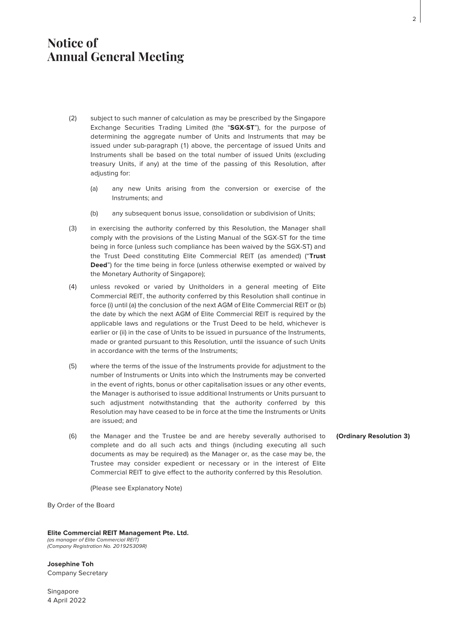- (2) subject to such manner of calculation as may be prescribed by the Singapore Exchange Securities Trading Limited (the "**SGX-ST**"), for the purpose of determining the aggregate number of Units and Instruments that may be issued under sub-paragraph (1) above, the percentage of issued Units and Instruments shall be based on the total number of issued Units (excluding treasury Units, if any) at the time of the passing of this Resolution, after adjusting for:
	- (a) any new Units arising from the conversion or exercise of the Instruments; and
	- (b) any subsequent bonus issue, consolidation or subdivision of Units;
- (3) in exercising the authority conferred by this Resolution, the Manager shall comply with the provisions of the Listing Manual of the SGX-ST for the time being in force (unless such compliance has been waived by the SGX-ST) and the Trust Deed constituting Elite Commercial REIT (as amended) ("**Trust Deed**") for the time being in force (unless otherwise exempted or waived by the Monetary Authority of Singapore);
- (4) unless revoked or varied by Unitholders in a general meeting of Elite Commercial REIT, the authority conferred by this Resolution shall continue in force (i) until (a) the conclusion of the next AGM of Elite Commercial REIT or (b) the date by which the next AGM of Elite Commercial REIT is required by the applicable laws and regulations or the Trust Deed to be held, whichever is earlier or (ii) in the case of Units to be issued in pursuance of the Instruments, made or granted pursuant to this Resolution, until the issuance of such Units in accordance with the terms of the Instruments;
- (5) where the terms of the issue of the Instruments provide for adjustment to the number of Instruments or Units into which the Instruments may be converted in the event of rights, bonus or other capitalisation issues or any other events, the Manager is authorised to issue additional Instruments or Units pursuant to such adjustment notwithstanding that the authority conferred by this Resolution may have ceased to be in force at the time the Instruments or Units are issued; and
- (6) the Manager and the Trustee be and are hereby severally authorised to complete and do all such acts and things (including executing all such documents as may be required) as the Manager or, as the case may be, the Trustee may consider expedient or necessary or in the interest of Elite Commercial REIT to give effect to the authority conferred by this Resolution.

**(Ordinary Resolution 3)**

(Please see Explanatory Note)

By Order of the Board

### **Elite Commercial REIT Management Pte. Ltd.**

(as manager of Elite Commercial REIT) (Company Registration No. 201925309R)

**Josephine Toh** Company Secretary

**Singapore** 4 April 2022 2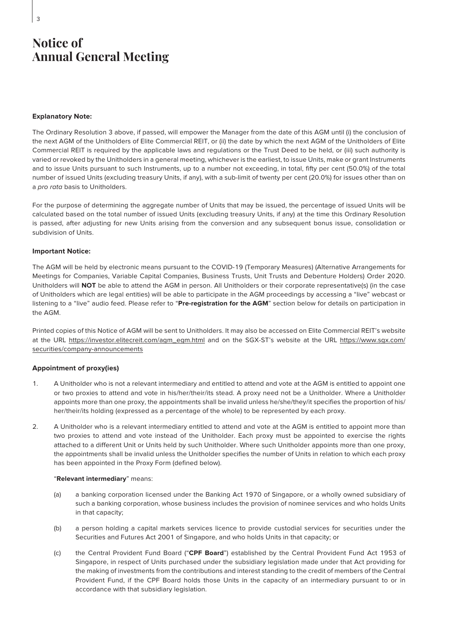### **Explanatory Note:**

3

The Ordinary Resolution 3 above, if passed, will empower the Manager from the date of this AGM until (i) the conclusion of the next AGM of the Unitholders of Elite Commercial REIT, or (ii) the date by which the next AGM of the Unitholders of Elite Commercial REIT is required by the applicable laws and regulations or the Trust Deed to be held, or (iii) such authority is varied or revoked by the Unitholders in a general meeting, whichever is the earliest, to issue Units, make or grant Instruments and to issue Units pursuant to such Instruments, up to a number not exceeding, in total, fifty per cent (50.0%) of the total number of issued Units (excluding treasury Units, if any), with a sub-limit of twenty per cent (20.0%) for issues other than on a pro rata basis to Unitholders.

For the purpose of determining the aggregate number of Units that may be issued, the percentage of issued Units will be calculated based on the total number of issued Units (excluding treasury Units, if any) at the time this Ordinary Resolution is passed, after adjusting for new Units arising from the conversion and any subsequent bonus issue, consolidation or subdivision of Units.

### **Important Notice:**

The AGM will be held by electronic means pursuant to the COVID-19 (Temporary Measures) (Alternative Arrangements for Meetings for Companies, Variable Capital Companies, Business Trusts, Unit Trusts and Debenture Holders) Order 2020. Unitholders will **NOT** be able to attend the AGM in person. All Unitholders or their corporate representative(s) (in the case of Unitholders which are legal entities) will be able to participate in the AGM proceedings by accessing a "live" webcast or listening to a "live" audio feed. Please refer to "**Pre-registration for the AGM**" section below for details on participation in the AGM.

Printed copies of this Notice of AGM will be sent to Unitholders. It may also be accessed on Elite Commercial REIT's website at the URL https://investor.elitecreit.com/agm\_egm.html and on the SGX-ST's website at the URL https://www.sgx.com/ securities/company-announcements

# **Appointment of proxy(ies)**

- 1. A Unitholder who is not a relevant intermediary and entitled to attend and vote at the AGM is entitled to appoint one or two proxies to attend and vote in his/her/their/its stead. A proxy need not be a Unitholder. Where a Unitholder appoints more than one proxy, the appointments shall be invalid unless he/she/they/it specifies the proportion of his/ her/their/its holding (expressed as a percentage of the whole) to be represented by each proxy.
- 2. A Unitholder who is a relevant intermediary entitled to attend and vote at the AGM is entitled to appoint more than two proxies to attend and vote instead of the Unitholder. Each proxy must be appointed to exercise the rights attached to a different Unit or Units held by such Unitholder. Where such Unitholder appoints more than one proxy, the appointments shall be invalid unless the Unitholder specifies the number of Units in relation to which each proxy has been appointed in the Proxy Form (defined below).

### "**Relevant intermediary**" means:

- (a) a banking corporation licensed under the Banking Act 1970 of Singapore, or a wholly owned subsidiary of such a banking corporation, whose business includes the provision of nominee services and who holds Units in that capacity;
- (b) a person holding a capital markets services licence to provide custodial services for securities under the Securities and Futures Act 2001 of Singapore, and who holds Units in that capacity; or
- (c) the Central Provident Fund Board ("**CPF Board**") established by the Central Provident Fund Act 1953 of Singapore, in respect of Units purchased under the subsidiary legislation made under that Act providing for the making of investments from the contributions and interest standing to the credit of members of the Central Provident Fund, if the CPF Board holds those Units in the capacity of an intermediary pursuant to or in accordance with that subsidiary legislation.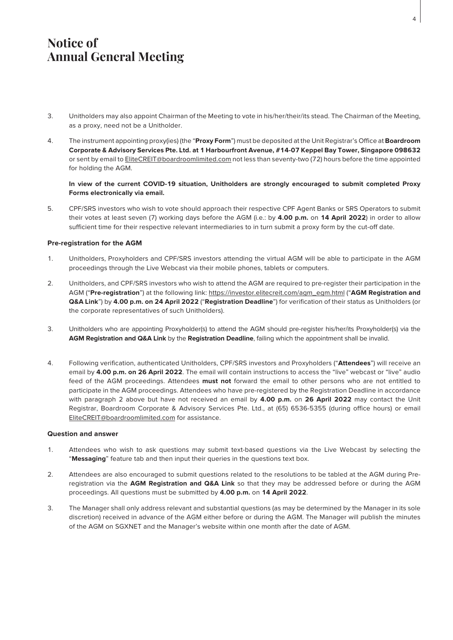- 3. Unitholders may also appoint Chairman of the Meeting to vote in his/her/their/its stead. The Chairman of the Meeting, as a proxy, need not be a Unitholder.
- 4. The instrument appointing proxy(ies) (the "**Proxy Form**") must be deposited at the Unit Registrar's Office at **Boardroom Corporate & Advisory Services Pte. Ltd. at 1 Harbourfront Avenue, #14-07 Keppel Bay Tower, Singapore 098632** or sent by email to EliteCREIT@boardroomlimited.com not less than seventy-two (72) hours before the time appointed for holding the AGM.

# **In view of the current COVID-19 situation, Unitholders are strongly encouraged to submit completed Proxy Forms electronically via email.**

5. CPF/SRS investors who wish to vote should approach their respective CPF Agent Banks or SRS Operators to submit their votes at least seven (7) working days before the AGM (i.e.: by **4.00 p.m.** on **14 April 2022**) in order to allow sufficient time for their respective relevant intermediaries to in turn submit a proxy form by the cut-off date.

# **Pre-registration for the AGM**

- 1. Unitholders, Proxyholders and CPF/SRS investors attending the virtual AGM will be able to participate in the AGM proceedings through the Live Webcast via their mobile phones, tablets or computers.
- 2. Unitholders, and CPF/SRS investors who wish to attend the AGM are required to pre-register their participation in the AGM ("**Pre-registration**") at the following link: https://investor.elitecreit.com/agm\_egm.html ("**AGM Registration and Q&A Link**") by **4.00 p.m. on 24 April 2022** ("**Registration Deadline**") for verification of their status as Unitholders (or the corporate representatives of such Unitholders).
- 3. Unitholders who are appointing Proxyholder(s) to attend the AGM should pre-register his/her/its Proxyholder(s) via the **AGM Registration and Q&A Link** by the **Registration Deadline**, failing which the appointment shall be invalid.
- 4. Following verification, authenticated Unitholders, CPF/SRS investors and Proxyholders ("**Attendees**") will receive an email by **4.00 p.m. on 26 April 2022**. The email will contain instructions to access the "live" webcast or "live" audio feed of the AGM proceedings. Attendees **must not** forward the email to other persons who are not entitled to participate in the AGM proceedings. Attendees who have pre-registered by the Registration Deadline in accordance with paragraph 2 above but have not received an email by **4.00 p.m.** on **26 April 2022** may contact the Unit Registrar, Boardroom Corporate & Advisory Services Pte. Ltd., at (65) 6536-5355 (during office hours) or email EliteCREIT@boardroomlimited.com for assistance.

### **Question and answer**

- 1. Attendees who wish to ask questions may submit text-based questions via the Live Webcast by selecting the "**Messaging**" feature tab and then input their queries in the questions text box.
- 2. Attendees are also encouraged to submit questions related to the resolutions to be tabled at the AGM during Preregistration via the **AGM Registration and Q&A Link** so that they may be addressed before or during the AGM proceedings. All questions must be submitted by **4.00 p.m.** on **14 April 2022**.
- 3. The Manager shall only address relevant and substantial questions (as may be determined by the Manager in its sole discretion) received in advance of the AGM either before or during the AGM. The Manager will publish the minutes of the AGM on SGXNET and the Manager's website within one month after the date of AGM.